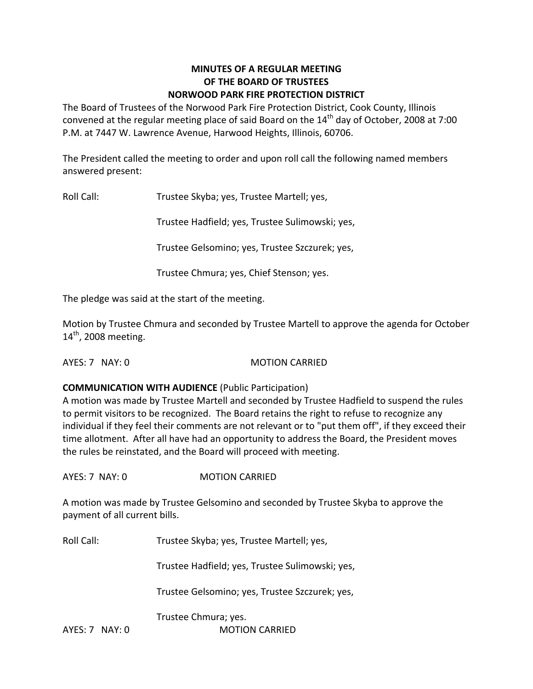## **MINUTES OF A REGULAR MEETING OF THE BOARD OF TRUSTEES NORWOOD PARK FIRE PROTECTION DISTRICT**

The Board of Trustees of the Norwood Park Fire Protection District, Cook County, Illinois convened at the regular meeting place of said Board on the  $14<sup>th</sup>$  day of October, 2008 at 7:00 P.M. at 7447 W. Lawrence Avenue, Harwood Heights, Illinois, 60706.

The President called the meeting to order and upon roll call the following named members answered present:

Roll Call: Trustee Skyba; yes, Trustee Martell; yes,

Trustee Hadfield; yes, Trustee Sulimowski; yes,

Trustee Gelsomino; yes, Trustee Szczurek; yes,

Trustee Chmura; yes, Chief Stenson; yes.

The pledge was said at the start of the meeting.

Motion by Trustee Chmura and seconded by Trustee Martell to approve the agenda for October 14<sup>th</sup>, 2008 meeting.

AYES: 7 NAY: 0 MOTION CARRIED

### **COMMUNICATION WITH AUDIENCE** (Public Participation)

A motion was made by Trustee Martell and seconded by Trustee Hadfield to suspend the rules to permit visitors to be recognized. The Board retains the right to refuse to recognize any individual if they feel their comments are not relevant or to "put them off", if they exceed their time allotment. After all have had an opportunity to address the Board, the President moves the rules be reinstated, and the Board will proceed with meeting.

AYES: 7 NAY: 0 MOTION CARRIED

A motion was made by Trustee Gelsomino and seconded by Trustee Skyba to approve the payment of all current bills.

Roll Call: Trustee Skyba; yes, Trustee Martell; yes,

Trustee Hadfield; yes, Trustee Sulimowski; yes,

Trustee Gelsomino; yes, Trustee Szczurek; yes,

Trustee Chmura; yes.

AYES: 7 NAY: 0 **MOTION CARRIED**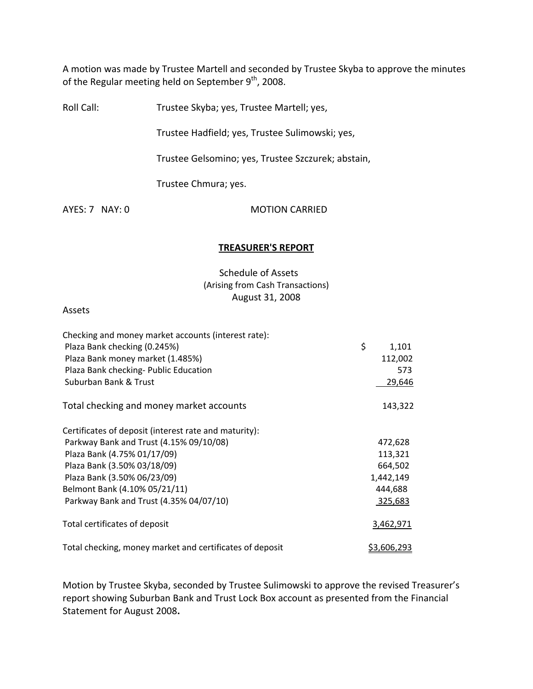A motion was made by Trustee Martell and seconded by Trustee Skyba to approve the minutes of the Regular meeting held on September 9<sup>th</sup>, 2008.

Roll Call: Trustee Skyba; yes, Trustee Martell; yes,

Trustee Hadfield; yes, Trustee Sulimowski; yes,

Trustee Gelsomino; yes, Trustee Szczurek; abstain,

Trustee Chmura; yes.

AYES: 7 NAY: 0 **MOTION CARRIED** 

### **TREASURER'S REPORT**

## Schedule of Assets (Arising from Cash Transactions) August 31, 2008

#### Assets

| Checking and money market accounts (interest rate):      |                    |
|----------------------------------------------------------|--------------------|
| Plaza Bank checking (0.245%)                             | \$<br>1,101        |
| Plaza Bank money market (1.485%)                         | 112,002            |
| Plaza Bank checking- Public Education                    | 573                |
| Suburban Bank & Trust                                    | 29,646             |
| Total checking and money market accounts                 | 143,322            |
| Certificates of deposit (interest rate and maturity):    |                    |
| Parkway Bank and Trust (4.15% 09/10/08)                  | 472,628            |
| Plaza Bank (4.75% 01/17/09)                              | 113,321            |
| Plaza Bank (3.50% 03/18/09)                              | 664,502            |
| Plaza Bank (3.50% 06/23/09)                              | 1,442,149          |
| Belmont Bank (4.10% 05/21/11)                            | 444,688            |
| Parkway Bank and Trust (4.35% 04/07/10)                  | 325,683            |
| Total certificates of deposit                            | 3,462,971          |
| Total checking, money market and certificates of deposit | <u>\$3,606,293</u> |

Motion by Trustee Skyba, seconded by Trustee Sulimowski to approve the revised Treasurer's report showing Suburban Bank and Trust Lock Box account as presented from the Financial Statement for August 2008**.**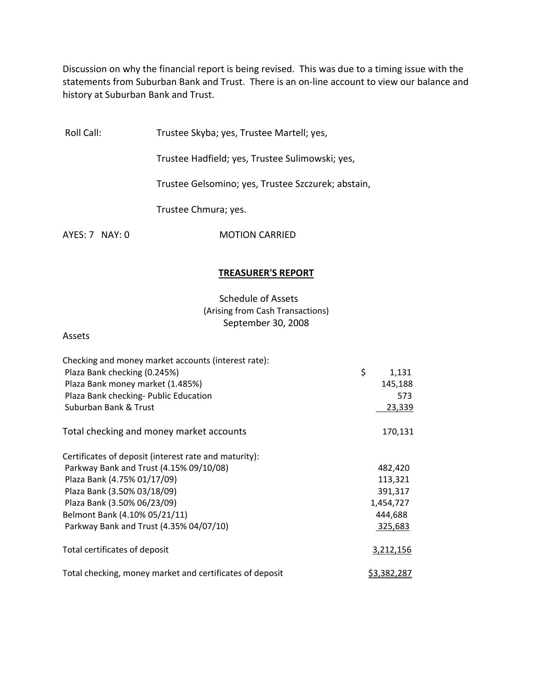Discussion on why the financial report is being revised. This was due to a timing issue with the statements from Suburban Bank and Trust. There is an on-line account to view our balance and history at Suburban Bank and Trust.

Roll Call: Trustee Skyba; yes, Trustee Martell; yes,

Trustee Hadfield; yes, Trustee Sulimowski; yes,

Trustee Gelsomino; yes, Trustee Szczurek; abstain,

Trustee Chmura; yes.

AYES: 7 NAY: 0 **MOTION CARRIED** 

#### **TREASURER'S REPORT**

## Schedule of Assets (Arising from Cash Transactions) September 30, 2008

Assets

| Checking and money market accounts (interest rate):      |                    |
|----------------------------------------------------------|--------------------|
| Plaza Bank checking (0.245%)                             | \$<br>1,131        |
| Plaza Bank money market (1.485%)                         | 145,188            |
| Plaza Bank checking- Public Education                    | 573                |
| Suburban Bank & Trust                                    | 23,339             |
| Total checking and money market accounts                 | 170,131            |
| Certificates of deposit (interest rate and maturity):    |                    |
| Parkway Bank and Trust (4.15% 09/10/08)                  | 482,420            |
| Plaza Bank (4.75% 01/17/09)                              | 113,321            |
| Plaza Bank (3.50% 03/18/09)                              | 391,317            |
| Plaza Bank (3.50% 06/23/09)                              | 1,454,727          |
| Belmont Bank (4.10% 05/21/11)                            | 444,688            |
| Parkway Bank and Trust (4.35% 04/07/10)                  | 325,683            |
| Total certificates of deposit                            | 3,212,156          |
| Total checking, money market and certificates of deposit | <u>\$3,382,287</u> |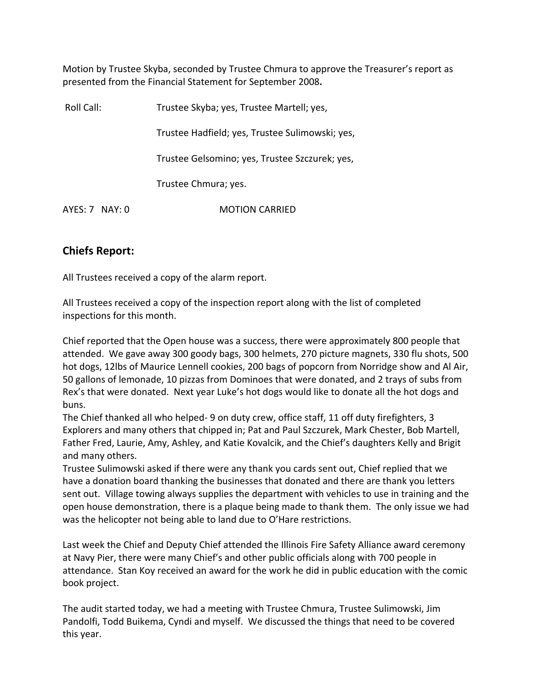Motion by Trustee Skyba, seconded by Trustee Chmura to approve the Treasurer's report as presented from the Financial Statement for September 2008**.**

| Roll Call:       | Trustee Skyba; yes, Trustee Martell; yes,       |  |
|------------------|-------------------------------------------------|--|
|                  | Trustee Hadfield; yes, Trustee Sulimowski; yes, |  |
|                  | Trustee Gelsomino; yes, Trustee Szczurek; yes,  |  |
|                  | Trustee Chmura; yes.                            |  |
| $AYES: 7$ NAY: 0 | <b>MOTION CARRIED</b>                           |  |

# **Chiefs Report:**

All Trustees received a copy of the alarm report.

All Trustees received a copy of the inspection report along with the list of completed inspections for this month.

Chief reported that the Open house was a success, there were approximately 800 people that attended. We gave away 300 goody bags, 300 helmets, 270 picture magnets, 330 flu shots, 500 hot dogs, 12lbs of Maurice Lennell cookies, 200 bags of popcorn from Norridge show and Al Air, 50 gallons of lemonade, 10 pizzas from Dominoes that were donated, and 2 trays of subs from Rex's that were donated. Next year Luke's hot dogs would like to donate all the hot dogs and buns.

The Chief thanked all who helped‐ 9 on duty crew, office staff, 11 off duty firefighters, 3 Explorers and many others that chipped in; Pat and Paul Szczurek, Mark Chester, Bob Martell, Father Fred, Laurie, Amy, Ashley, and Katie Kovalcik, and the Chief's daughters Kelly and Brigit and many others.

Trustee Sulimowski asked if there were any thank you cards sent out, Chief replied that we have a donation board thanking the businesses that donated and there are thank you letters sent out. Village towing always supplies the department with vehicles to use in training and the open house demonstration, there is a plaque being made to thank them. The only issue we had was the helicopter not being able to land due to O'Hare restrictions.

Last week the Chief and Deputy Chief attended the Illinois Fire Safety Alliance award ceremony at Navy Pier, there were many Chief's and other public officials along with 700 people in attendance. Stan Koy received an award for the work he did in public education with the comic book project.

The audit started today, we had a meeting with Trustee Chmura, Trustee Sulimowski, Jim Pandolfi, Todd Buikema, Cyndi and myself. We discussed the things that need to be covered this year.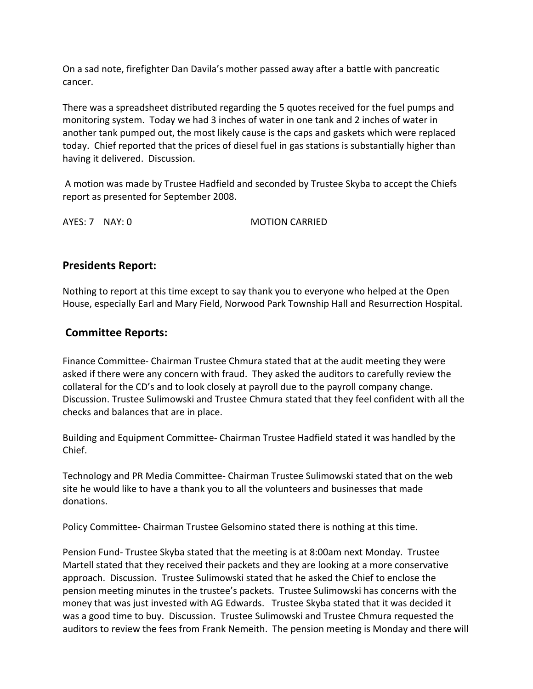On a sad note, firefighter Dan Davila's mother passed away after a battle with pancreatic cancer.

There was a spreadsheet distributed regarding the 5 quotes received for the fuel pumps and monitoring system. Today we had 3 inches of water in one tank and 2 inches of water in another tank pumped out, the most likely cause is the caps and gaskets which were replaced today. Chief reported that the prices of diesel fuel in gas stations is substantially higher than having it delivered. Discussion.

A motion was made by Trustee Hadfield and seconded by Trustee Skyba to accept the Chiefs report as presented for September 2008.

AYES: 7 NAY: 0 **MOTION CARRIED** 

# **Presidents Report:**

Nothing to report at this time except to say thank you to everyone who helped at the Open House, especially Earl and Mary Field, Norwood Park Township Hall and Resurrection Hospital.

# **Committee Reports:**

Finance Committee‐ Chairman Trustee Chmura stated that at the audit meeting they were asked if there were any concern with fraud. They asked the auditors to carefully review the collateral for the CD's and to look closely at payroll due to the payroll company change. Discussion. Trustee Sulimowski and Trustee Chmura stated that they feel confident with all the checks and balances that are in place.

Building and Equipment Committee‐ Chairman Trustee Hadfield stated it was handled by the Chief.

Technology and PR Media Committee‐ Chairman Trustee Sulimowski stated that on the web site he would like to have a thank you to all the volunteers and businesses that made donations.

Policy Committee‐ Chairman Trustee Gelsomino stated there is nothing at this time.

Pension Fund‐ Trustee Skyba stated that the meeting is at 8:00am next Monday. Trustee Martell stated that they received their packets and they are looking at a more conservative approach. Discussion. Trustee Sulimowski stated that he asked the Chief to enclose the pension meeting minutes in the trustee's packets. Trustee Sulimowski has concerns with the money that was just invested with AG Edwards. Trustee Skyba stated that it was decided it was a good time to buy. Discussion. Trustee Sulimowski and Trustee Chmura requested the auditors to review the fees from Frank Nemeith. The pension meeting is Monday and there will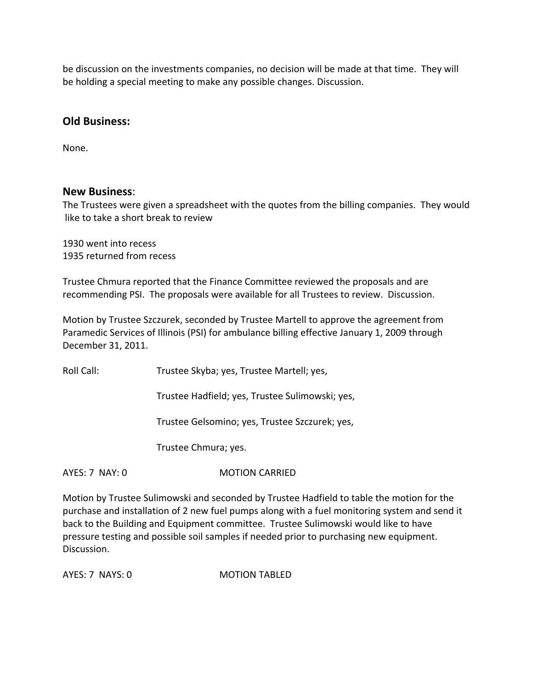be discussion on the investments companies, no decision will be made at that time. They will be holding a special meeting to make any possible changes. Discussion.

## **Old Business:**

None.

## **New Business**:

The Trustees were given a spreadsheet with the quotes from the billing companies. They would like to take a short break to review

1930 went into recess 1935 returned from recess

Trustee Chmura reported that the Finance Committee reviewed the proposals and are recommending PSI. The proposals were available for all Trustees to review. Discussion.

Motion by Trustee Szczurek, seconded by Trustee Martell to approve the agreement from Paramedic Services of Illinois (PSI) for ambulance billing effective January 1, 2009 through December 31, 2011.

Roll Call: Trustee Skyba; yes, Trustee Martell; yes,

Trustee Hadfield; yes, Trustee Sulimowski; yes,

Trustee Gelsomino; yes, Trustee Szczurek; yes,

Trustee Chmura; yes.

AYES: 7 NAY: 0 **MOTION CARRIED** 

Motion by Trustee Sulimowski and seconded by Trustee Hadfield to table the motion for the purchase and installation of 2 new fuel pumps along with a fuel monitoring system and send it back to the Building and Equipment committee. Trustee Sulimowski would like to have pressure testing and possible soil samples if needed prior to purchasing new equipment. Discussion.

AYES: 7 NAYS: 0 MOTION TABLED